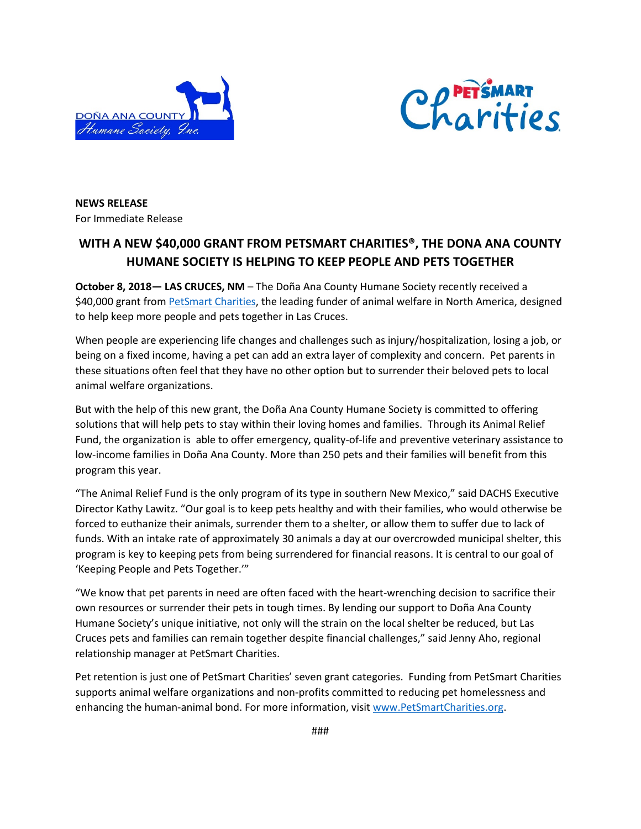



**NEWS RELEASE** For Immediate Release

## **WITH A NEW \$40,000 GRANT FROM PETSMART CHARITIES®, THE DONA ANA COUNTY HUMANE SOCIETY IS HELPING TO KEEP PEOPLE AND PETS TOGETHER**

**October 8, 2018— LAS CRUCES, NM** – The Doña Ana County Humane Society recently received a \$40,000 grant from [PetSmart Charities,](https://www.petsmartcharities.org/) the leading funder of animal welfare in North America, designed to help keep more people and pets together in Las Cruces.

When people are experiencing life changes and challenges such as injury/hospitalization, losing a job, or being on a fixed income, having a pet can add an extra layer of complexity and concern. Pet parents in these situations often feel that they have no other option but to surrender their beloved pets to local animal welfare organizations.

But with the help of this new grant, the Doña Ana County Humane Society is committed to offering solutions that will help pets to stay within their loving homes and families. Through its Animal Relief Fund, the organization is able to offer emergency, quality-of-life and preventive veterinary assistance to low-income families in Doña Ana County. More than 250 pets and their families will benefit from this program this year.

"The Animal Relief Fund is the only program of its type in southern New Mexico," said DACHS Executive Director Kathy Lawitz. "Our goal is to keep pets healthy and with their families, who would otherwise be forced to euthanize their animals, surrender them to a shelter, or allow them to suffer due to lack of funds. With an intake rate of approximately 30 animals a day at our overcrowded municipal shelter, this program is key to keeping pets from being surrendered for financial reasons. It is central to our goal of 'Keeping People and Pets Together.'"

"We know that pet parents in need are often faced with the heart-wrenching decision to sacrifice their own resources or surrender their pets in tough times. By lending our support to Doña Ana County Humane Society's unique initiative, not only will the strain on the local shelter be reduced, but Las Cruces pets and families can remain together despite financial challenges," said Jenny Aho, regional relationship manager at PetSmart Charities.

Pet retention is just one of PetSmart Charities' seven grant categories. Funding from PetSmart Charities supports animal welfare organizations and non-profits committed to reducing pet homelessness and enhancing the human-animal bond. For more information, visit [www.PetSmartCharities.org.](http://www.petsmartcharities.org/)